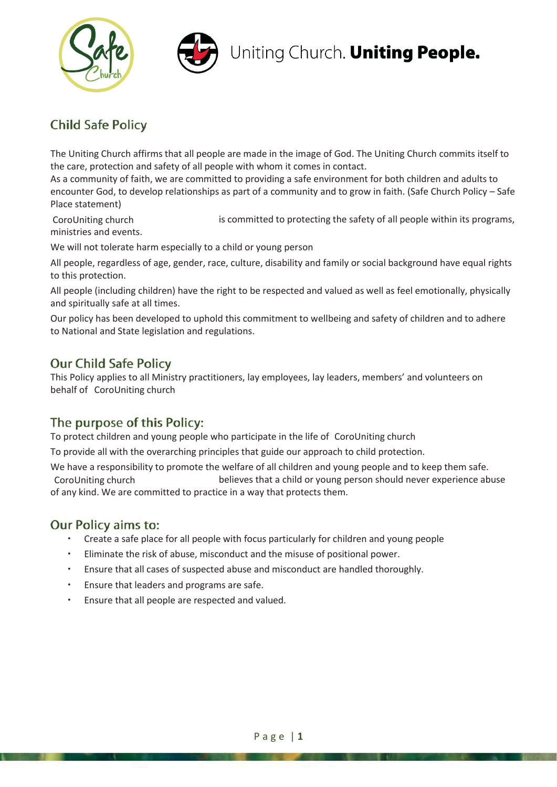



# Uniting Church. Uniting People.

# **Child Safe Policy**

The Uniting Church affirms that all people are made in the image of God. The Uniting Church commits itself to the care, protection and safety of all people with whom it comes in contact.

As a community of faith, we are committed to providing a safe environment for both children and adults to encounter God, to develop relationships as part of a community and to grow in faith. (Safe Church Policy – Safe Place statement)

is committed to protecting the safety of all people within its programs, ministries and events. CoroUniting church

We will not tolerate harm especially to a child or young person

All people, regardless of age, gender, race, culture, disability and family or social background have equal rights to this protection.

All people (including children) have the right to be respected and valued as well as feel emotionally, physically and spiritually safe at all times.

Our policy has been developed to uphold this commitment to wellbeing and safety of children and to adhere to National and State legislation and regulations.

## **Our Child Safe Policy**

This Policy applies to all Ministry practitioners, lay employees, lay leaders, members' and volunteers on behalf of CoroUniting church

# The purpose of this Policy:

To protect children and young people who participate in the life of CoroUniting church

To provide all with the overarching principles that guide our approach to child protection.

We have a responsibility to promote the welfare of all children and young people and to keep them safe. believes that a child or young person should never experience abuse of any kind. We are committed to practice in a way that protects them. CoroUniting church

#### **Our Policy aims to:**

- Create a safe place for all people with focus particularly for children and young people
- Eliminate the risk of abuse, misconduct and the misuse of positional power.
- Ensure that all cases of suspected abuse and misconduct are handled thoroughly.
- **Ensure that leaders and programs are safe.**
- $\cdot$  Ensure that all people are respected and valued.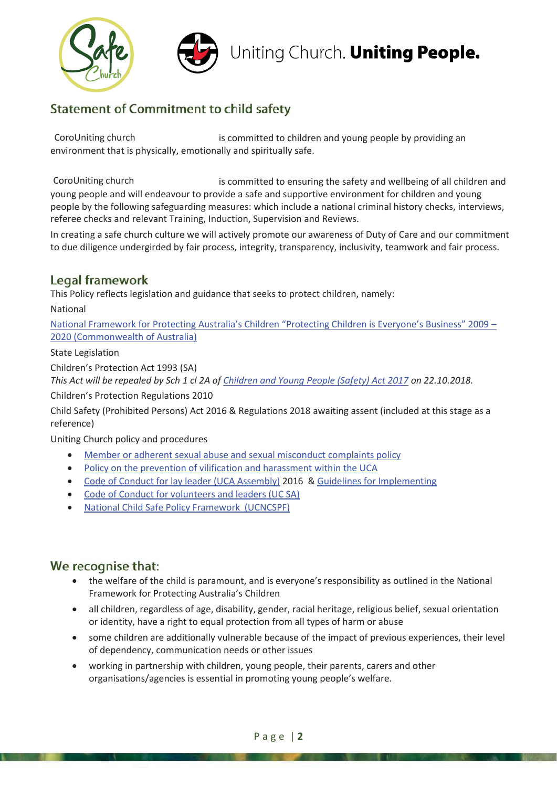

# **Statement of Commitment to child safety**

is committed to children and young people by providing an environment that is physically, emotionally and spiritually safe. CoroUniting church

is committed to ensuring the safety and wellbeing of all children and young people and will endeavour to provide a safe and supportive environment for children and young people by the following safeguarding measures: which include a national criminal history checks, interviews, referee checks and relevant Training, Induction, Supervision and Reviews. CoroUniting church

In creating a safe church culture we will actively promote our awareness of Duty of Care and our commitment to due diligence undergirded by fair process, integrity, transparency, inclusivity, teamwork and fair process.

## Legal framework

This Policy reflects legislation and guidance that seeks to protect children, namely:

National

National Framework for Protecting Australia's Children "Protecting Children is Everyone's Business" 2009 – 2020 (Commonwealth of Australia)

State Legislation

Children's Protection Act 1993 (SA)

*This Act will be repealed by Sch 1 cl 2A of Children and Young People (Safety) Act 2017 on 22.10.2018.*

Children's Protection Regulations 2010

Child Safety (Prohibited Persons) Act 2016 & Regulations 2018 awaiting assent (included at this stage as a reference)

Uniting Church policy and procedures

- Member or adherent sexual abuse and sexual misconduct complaints policy
- Policy on the prevention of vilification and harassment within the UCA
- Code of Conduct for lay leader (UCA Assembly) 2016 & Guidelines for Implementing
- Code of Conduct for volunteers and leaders (UC SA)
- National Child Safe Policy Framework (UCNCSPF)

# We recognise that:

- the welfare of the child is paramount, and is everyone's responsibility as outlined in the National Framework for Protecting Australia's Children
- all children, regardless of age, disability, gender, racial heritage, religious belief, sexual orientation or identity, have a right to equal protection from all types of harm or abuse
- some children are additionally vulnerable because of the impact of previous experiences, their level of dependency, communication needs or other issues
- x working in partnership with children, young people, their parents, carers and other organisations/agencies is essential in promoting young people's welfare.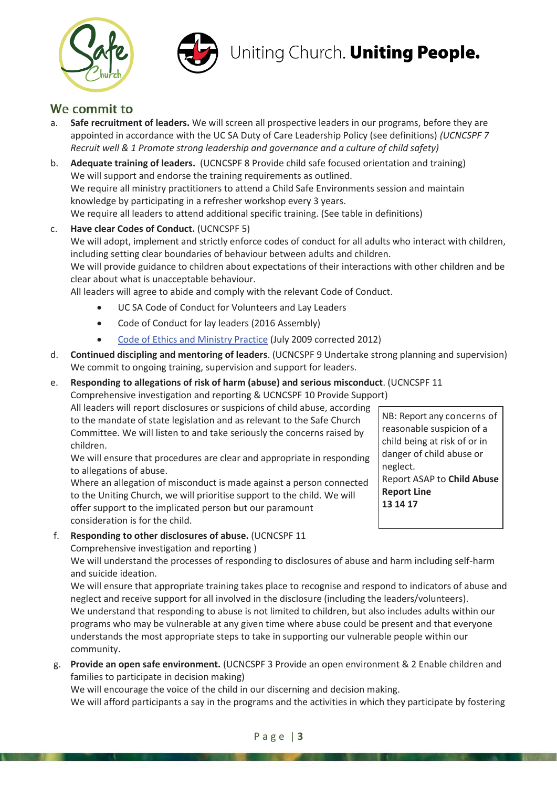



#### We commit to

- a. **Safe recruitment of leaders.** We will screen all prospective leaders in our programs, before they are appointed in accordance with the UC SA Duty of Care Leadership Policy (see definitions) *(UCNCSPF 7 Recruit well & 1 Promote strong leadership and governance and a culture of child safety)*
- b. **Adequate training of leaders.** (UCNCSPF 8 Provide child safe focused orientation and training) We will support and endorse the training requirements as outlined. We require all ministry practitioners to attend a Child Safe Environments session and maintain knowledge by participating in a refresher workshop every 3 years. We require all leaders to attend additional specific training. (See table in definitions)
- c. **Have clear Codes of Conduct.** (UCNCSPF 5) We will adopt, implement and strictly enforce codes of conduct for all adults who interact with children, including setting clear boundaries of behaviour between adults and children. We will provide guidance to children about expectations of their interactions with other children and be clear about what is unacceptable behaviour. All leaders will agree to abide and comply with the relevant Code of Conduct.
	- UC SA Code of Conduct for Volunteers and Lay Leaders
	- Code of Conduct for lay leaders (2016 Assembly)
	- Code of Ethics and Ministry Practice (July 2009 corrected 2012)
- d. **Continued discipling and mentoring of leaders**. (UCNCSPF 9 Undertake strong planning and supervision) We commit to ongoing training, supervision and support for leaders.

#### e. **Responding to allegations of risk of harm (abuse) and serious misconduct**. (UCNCSPF 11

Comprehensive investigation and reporting & UCNCSPF 10 Provide Support)

All leaders will report disclosures or suspicions of child abuse, according to the mandate of state legislation and as relevant to the Safe Church Committee. We will listen to and take seriously the concerns raised by children.

We will ensure that procedures are clear and appropriate in responding to allegations of abuse.

Where an allegation of misconduct is made against a person connected to the Uniting Church, we will prioritise support to the child. We will offer support to the implicated person but our paramount consideration is for the child.

NB: Report any concerns of reasonable suspicion of a child being at risk of or in danger of child abuse or neglect. Report ASAP to **Child Abuse Report Line 13 14 17**

f. **Responding to other disclosures of abuse.** (UCNCSPF 11

Comprehensive investigation and reporting )

We will understand the processes of responding to disclosures of abuse and harm including self-harm and suicide ideation.

We will ensure that appropriate training takes place to recognise and respond to indicators of abuse and neglect and receive support for all involved in the disclosure (including the leaders/volunteers). We understand that responding to abuse is not limited to children, but also includes adults within our programs who may be vulnerable at any given time where abuse could be present and that everyone understands the most appropriate steps to take in supporting our vulnerable people within our community.

g. **Provide an open safe environment.** (UCNCSPF 3 Provide an open environment & 2 Enable children and families to participate in decision making)

We will encourage the voice of the child in our discerning and decision making.

We will afford participants a say in the programs and the activities in which they participate by fostering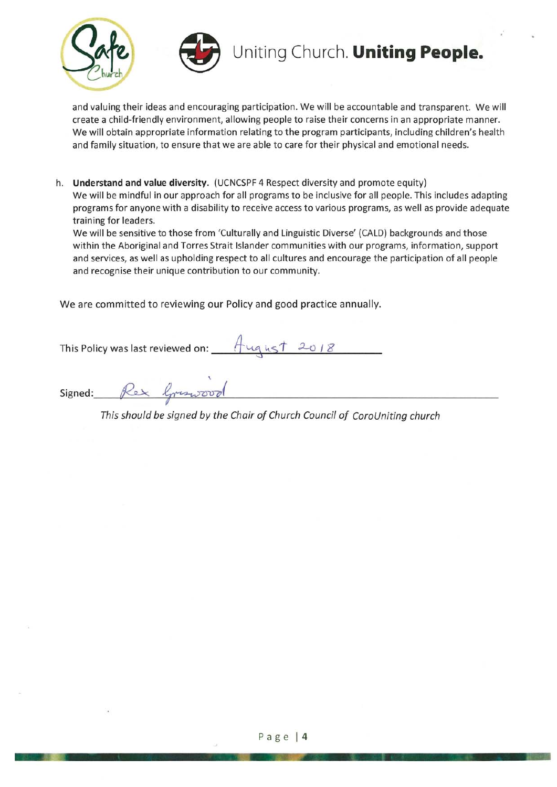

and valuing their ideas and encouraging participation. We will be accountable and transparent. We will create a child-friendly environment, allowing people to raise their concerns in an appropriate manner. We will obtain appropriate information relating to the program participants, including children's health and family situation, to ensure that we are able to care for their physical and emotional needs.

h. Understand and value diversity. (UCNCSPF 4 Respect diversity and promote equity) We will be mindful in our approach for all programs to be inclusive for all people. This includes adapting programs for anyone with a disability to receive access to various programs, as well as provide adequate training for leaders.

We will be sensitive to those from 'Culturally and Linguistic Diverse' (CALD) backgrounds and those within the Aboriginal and Torres Strait Islander communities with our programs, information, support and services, as well as upholding respect to all cultures and encourage the participation of all people and recognise their unique contribution to our community.

We are committed to reviewing our Policy and good practice annually.

This Policy was last reviewed on: 4ugust 2018

Signed: Rex Greenood

This should be signed by the Chair of Church Council of CoroUniting church